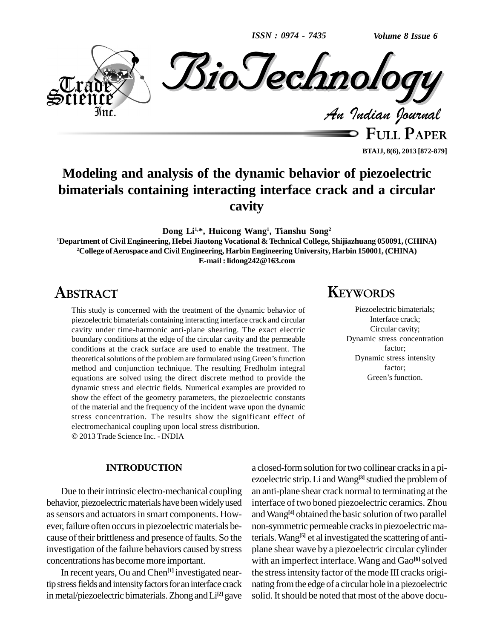*ISSN : 0974 - 7435*



**FULL PAPER BTAIJ, 8(6), 2013 [872-879]**

# **Modeling and analysis of the dynamic behavior of piezoelectric bimaterials containing interacting interface crack and a circular cavity**

**Dong Li1,\*, Huicong Wang 1 , Tianshu Song 2**

**<sup>1</sup>Department of Civil Engineering, Hebei Jiaotong Vocational & Technical College, Shijiazhuang 050091, (CHINA) <sup>2</sup>College ofAerospace and Civil Engineering, Harbin Engineering University, Harbin 150001, (CHINA) E-mail : [lidong242@163.com](mailto:lidong242@163.com)**

# **ABSTRACT**

This study is concerned with the treatment of the dynamic behavior of piezoelectric bimaterials containing interacting interface crack and circular cavity under time-harmonic anti-plane shearing. The exact electric boundary conditions at the edge of the circular cavity and the permeable conditions at the crack surface are used to enable the treatment. The theoretical solutions of the problem are formulated using Green's function method and conjunction technique. The resulting Fredholm integral equations are solved using the direct discrete method to provide the dynamic stress and electric fields. Numerical examples are provided to show the effect of the geometry parameters, the piezoelectric constants of the material and the frequency of the incident wave upon the dynamic stress concentration. The results show the significant effect of electromechanical coupling upon local stress distribution. 2013 Trade Science Inc. - INDIA

## **INTRODUCTION**

Due to their intrinsic electro-mechanical coupling behavior, piezoelectric materials have been widely used as sensors and actuators in smart components. However, failure often occurs in piezoelectric materials because of their brittleness and presence of faults. So the investigation of the failure behaviors caused by stress concentrations has becomemore important.

In recent years, Ou and Chen **[1]** investigated neartip stress fields and intensity factors for an interface crack in metal/piezoelectric bimaterials. Zhong and Li<sup>[2]</sup> gave solid.

## **KEYWORDS**

Piezoelectric bimaterials; Interface crack; Circular cavity; Dynamic stress concentration factor; Dynamic stress intensity<br>factor;<br>Green's function. factor;

a closed-formsolution fortwo collinear cracksin a pi ezoelectric strip.Li andWang **[3]**studied the problemof an anti-plane shear crack normal to terminating at the interface of two boned piezoelectric ceramics. Zhou and Wang<sup>[4]</sup> obtained the basic solution of two parallel non-symmetric permeable cracks in piezoelectric materials.Wang **[5]** et al investigated the scattering of anti plane shear wave by a piezoelectric circular cylinder with an imperfect interface. Wang and Gao **[6]**solved the stress intensity factor of the mode III cracks originating fromthe edge of a circular hole in a piezoelectric solid. It should be noted that most of the above docu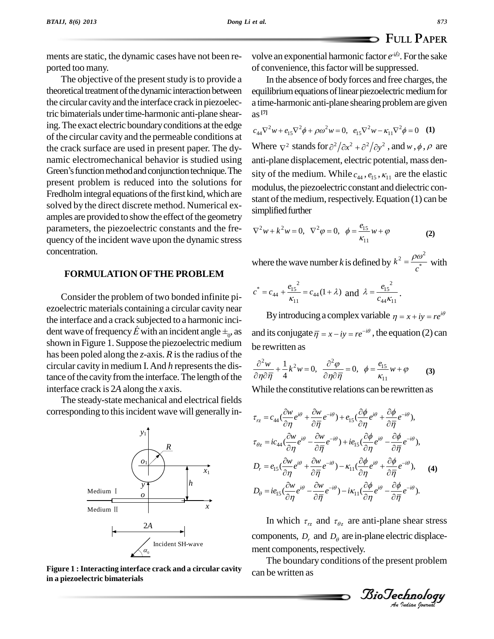ments are static, the dynamic cases have not been re-ported too many.

The objective of the present study is to provide a theoretical treatment of the dynamic interaction between the circular cavity and the interface crack in piezoelectric bimaterials under time-harmonic anti-plane shearing. The exact electric boundary conditions at the edge of the circular cavity and the permeable conditions at the crack surface are used in present paper. The dy-<br>namic electromechanical behavior is studied using anti-p<br>Green's function method and conjunction technique. The sity of namic electromechanical behavior is studied using present problem is reduced into the solutions for Fredholm integral equations of the first kind, which are solved by the direct discrete method. Numerical ex amples are provided to show the effect of the geometry parameters, the piezoelectric constants and the fre quency of the incident wave upon the dynamic stress concentration.

### **FORMULATION OFTHE PROBLEM**

Consider the problem of two bonded infinite pi ezoelectric materials containing a circular cavity near the interface and a crack subjected to a harmonic inci ezoelectric materials containing a circular cavity near<br>the interface and a crack subjected to a harmonic inci-<br>dent wave of frequency  $\acute{E}$  with an incident angle  $\pm_0$ , as and shown in Figure 1. Suppose the piezoelectric medium has been poled along the *z*-axis. *R* is the radius of the circular cavity in medium I. And *h* represents the distance of the cavity from the interface. The length of the interface crack is 2*A* along the *x* axis.

The steady-state mechanical and electrical fields corresponding to this incident wave will generally in-



**Figure 1 :Interacting interface crack and a circular cavity in a piezoelectric bimaterials**

**FULL PAPER**<br>volve an exponential harmonic factor  $e^{-iEt}$ . For the sake of convenience, thisfactor will be suppressed.

In the absence of body forces and free charges, the equilibrium equations of linear piezoelectric medium for a time-harmonic anti-plane shearing problemare given as **[7]** as <sup>[7]</sup><br>  $c_{44}\nabla^2 w + e_{15}\nabla^2 \phi + \rho \omega^2 w = 0, \quad e_{15}\nabla^2 w - \kappa_{11}\nabla^2 \phi = 0$  (1)

 $c_{44}\nabla^2 w + e_{15}\nabla^2 \phi + \rho \omega^2 w = 0$ ,  $e_{15}\nabla^2 w - \kappa_{11}\nabla^2 \phi$ <br>Where  $\nabla^2$  stands for  $\partial^2/\partial x^2 + \partial^2/\partial y^2$ , and Where  $\nabla^2$  stands for  $\frac{\partial^2}{\partial x^2} + \frac{\partial^2}{\partial y^2}$ , and *w*,  $\phi$ ,  $\rho$  are anti-plane displacement, electric potential, mass den sity of the medium. While  $c_{44}$ ,  $e_{15}$ ,  $\kappa_{11}$  are the elastic modulus, the piezoelectric constant and dielectric con stant of the medium, respectively. Equation  $(1)$  can be simplified further

simplified further  
\n
$$
\nabla^2 w + k^2 w = 0, \ \nabla^2 \varphi = 0, \ \ \phi = \frac{e_{15}}{\kappa_{11}} w + \varphi
$$
\n(2)

where the wave number *k* is defined by  $k^2 = \frac{P}{r}$  $k^2 = \frac{\rho \omega^2}{c^*}$  with  $\frac{\rho \omega}{\omega}$  with

$$
c^* = c_{44} + \frac{e_{15}^2}{\kappa_{11}} = c_{44}(1 + \lambda) \text{ and } \lambda = \frac{e_{15}^2}{c_{44}\kappa_{11}}.
$$

By introducing a complex variable  $\eta = x + iy = re^{i\theta}$ <br>its conjugate  $\overline{\eta} = x - iy = re^{-i\theta}$ , the equation (2) can and its conjugate  $\overline{\eta} = x - iy = re^{-i\theta}$ , the  $\theta$ be rewritten as n as  $\frac{\partial^2 \varphi}{\partial x^2}$ 

be rewritten as  
\n
$$
\frac{\partial^2 w}{\partial \eta \partial \overline{\eta}} + \frac{1}{4} k^2 w = 0, \quad \frac{\partial^2 \varphi}{\partial \eta \partial \overline{\eta}} = 0, \quad \phi = \frac{e_{15}}{\kappa_{11}} w + \varphi
$$
\n(3)

While the constitutive relations can be rewritten as<br> $\partial w_{ij} = \partial w_{ij} + \partial \phi_{ij} = \partial \phi_{ij} + \partial \phi_{ij}$ 

$$
\tau_{rz} = c_{44} \left( \frac{\partial w}{\partial \eta} e^{i\theta} + \frac{\partial w}{\partial \overline{\eta}} e^{-i\theta} \right) + e_{15} \left( \frac{\partial \phi}{\partial \eta} e^{i\theta} + \frac{\partial \phi}{\partial \overline{\eta}} e^{-i\theta} \right),
$$
\n
$$
\tau_{\theta z} = ic_{44} \left( \frac{\partial w}{\partial \eta} e^{i\theta} - \frac{\partial w}{\partial \overline{\eta}} e^{-i\theta} \right) + ie_{15} \left( \frac{\partial \phi}{\partial \eta} e^{i\theta} - \frac{\partial \phi}{\partial \overline{\eta}} e^{-i\theta} \right),
$$
\n
$$
D_r = e_{15} \left( \frac{\partial w}{\partial \eta} e^{i\theta} + \frac{\partial w}{\partial \overline{\eta}} e^{-i\theta} \right) - \kappa_{11} \left( \frac{\partial \phi}{\partial \eta} e^{i\theta} + \frac{\partial \phi}{\partial \overline{\eta}} e^{-i\theta} \right),
$$
\n
$$
D_\theta = ie_{15} \left( \frac{\partial w}{\partial \eta} e^{i\theta} - \frac{\partial w}{\partial \overline{\eta}} e^{-i\theta} \right) - ik_{11} \left( \frac{\partial \phi}{\partial \eta} e^{i\theta} - \frac{\partial \phi}{\partial \overline{\eta}} e^{-i\theta} \right).
$$
\n(4)

components,  $D_r$  and  $D_\theta$  are in-plane electric displace-In which  $\tau_{r\bar{z}}$  and  $\tau_{\theta z}$  are anti-plane shear stress ment components, respectively.

The boundary conditions of the present problem can be written as

*Indian Journal*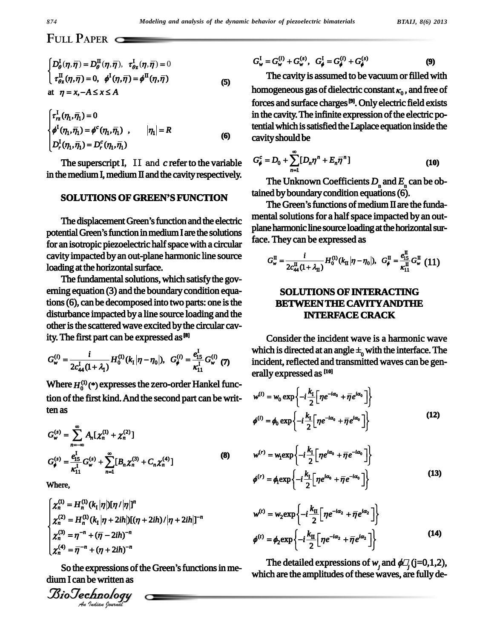*BTAIJ, 8(6) 2013*

# **FULL PAPER**

$$
\begin{cases}\nD_{\theta}^{L}(\eta, \overline{\eta}) = D_{\theta}^{L}(\eta, \overline{\eta}), \ \tau_{\theta z}^{L}(\eta, \overline{\eta}) = 0 \\
\tau_{\theta z}^{L}(\eta, \overline{\eta}) = 0, \ \phi^{L}(\eta, \overline{\eta}) = \phi^{L}(\eta, \overline{\eta})\n\end{cases} \tag{5}
$$
\nat  $\eta = x, -A \leq x \leq A$ 

at 
$$
\eta = x, -A \le x \le A
$$
  
\n
$$
\begin{cases}\n\tau_{rz}^{\text{I}}(\eta_1, \overline{\eta_1}) = 0 \\
\phi^{\text{I}}(\eta_1, \overline{\eta_1}) = \phi^c(\eta_1, \overline{\eta_1}) , & |\eta_1| = R \\
D_r^{\text{I}}(\eta_1, \overline{\eta_1}) = D_r^c(\eta_1, \overline{\eta_1})\n\end{cases}
$$
\n(6)

The superscript I, II and *c* refer to the variable in the medium I, medium II and the cavity respectively.<br>**SOLUTIONS OF GREEN'S FUNCTION** 

potential Green's function in medium I are the solutions for an isotropic piezoelectric half space with a circular cavity impacted by an out-plane harmonic line source loading at the horizontal surface.

 $D_{\theta}^{1}( \eta, \bar{\eta}) = D_{\theta}^{1}( \eta, \bar{\eta})$ ,  $\tau_{\theta z}^{k}( \eta, \bar{\eta}) = 0$ <br>  $\tau_{\theta z}^{R}( \eta, \bar{\eta}) = 0$ ,  $\phi^{l}(\eta, \bar{\eta}) = \phi^{R}( \eta, \bar{\eta}) = 0$ <br>  $\tau_{\theta z}^{R}( \eta, \bar{\eta}) = 0$ ,  $\phi^{l}(\eta, \bar{\eta}) = \phi^{R}( \eta, \bar{\eta})$ <br>
at  $\eta = x, -A \le x \le A$ <br>  $\left\{ \tau_{\pi}^{1}(\eta_1, \bar{\eta}_$ The fundamental solutions, which satisfy the governing equation (3) and the boundary condition equations (6), can be decomposed into two parts: one is the disturbance impacted by a line source loading and the other is the scattered wave excited by the circular cav-

ity. The first part can be expressed as <sup>[8]</sup>  

$$
G_w^{(i)} = \frac{i}{2c_{44}^1(1+\lambda_1)} H_0^{(1)}(k_1|\eta - \eta_0|), \ \ G_\phi^{(i)} = \frac{e_{15}^1}{\kappa_{11}^1} G_w^{(i)}(\eta) \qquad \text{if}
$$

Where  $H_0^{(1)}$  (\*) expresses the zero-order Hankel function of the first kind. And the second part can be written as

$$
G_w^{(s)} = \sum_{n=-\infty}^{\infty} A_n [\chi_n^{(1)} + \chi_n^{(2)}]
$$
  
\n
$$
G_{\phi}^{(s)} = \frac{e_{15}^1}{\kappa_{11}^1} G_w^{(s)} + \sum_{n=1}^{\infty} [B_n \chi_n^{(3)} + C_n \chi_n^{(4)}]
$$
\n(8)

Where,  $\ddot{\phantom{0}}$ 

Where,  
\n
$$
\begin{cases}\n\chi_n^{(1)} = H_n^{(1)}(k_1|\eta|)[\eta/|\eta|]^{n} \\
\chi_n^{(2)} = H_n^{(1)}(k_1|\eta + 2ih)|[(\eta + 2ih)/|\eta + 2ih|]^{-n} \\
\chi_n^{(3)} = \eta^{-n} + (\overline{\eta} - 2ih)^{-n} \\
\chi_n^{(4)} = \overline{\eta}^{-n} + (\eta + 2ih)^{-n}\n\end{cases}
$$

 $\overline{a}^{J} = \overline{\eta}^{-n} + (\eta - 2ih)^{-n}$ <br> *A*  $\overline{\eta} = \overline{\eta}^{-n} + (\eta + 2ih)^{-n}$ <br> *So* the expressions of the Green's functions in me-<br> *In* I can be written as<br> *io*  $\overline{Jechnology}$ dium I can be written as

$$
G_w^{\text{I}} = G_w^{(i)} + G_w^{(s)}, \quad G_{\phi}^{\text{I}} = G_{\phi}^{(i)} + G_{\phi}^{(s)}
$$
(9)

The cavity is assumed to be vacuum or filled with homogeneous gas of dielectric constant  $\kappa_{\rm 0}$  , and free of forces and surface charges **[9]**. Only electric field exists in the cavity. The infinite expression of the electric potential which is satisfied the Laplace equation inside the<br>cavity should be<br> $G_t^c = D_0 + \sum_{n=1}^{\infty} [D_n n^n + E_n \overline{n}^n]$  (10) cavity should be<br> $C_1^c$ ,  $D_1$ ,  $\sum_{i=1}^{\infty}$   $C_i^c$ ,  $D_i$ ,  $E_i$ 

cavity should be  
\n
$$
G_{\phi}^{c} = D_{0} + \sum_{n=1}^{\infty} [D_{n} \eta^{n} + E_{n} \overline{\eta}^{n}]
$$
\n(10)

The Unknown Coefficients  $D_n$  and  $E_n$  can be ob-<br>ed by boundary condition equations (6).<br>The Green's functions of medium II are the fundatained by boundary condition equations (6).

SOLUTIONS OF GREEN'S FUNCTION<br>The Green's functions of medium II are the funda-<br>The displacement Green's function and the electric mental solutions for a half space impacted by an outmental solutions for a half space impacted by an outplane harmonic line source loading at the horizontal sur-

face. They can be expressed as  
\n
$$
G_w^{\text{II}} = \frac{i}{2c_{44}^{\text{II}}(1 + \lambda_{\text{II}})} H_0^{(1)}(k_{\text{II}} | \eta - \eta_0|), \ \ G_{\phi}^{\text{II}} = \frac{e_{15}^{\text{II}}}{k_{11}^{\text{II}}} G_w^{\text{II}} \ (11)
$$

## **SOLUTIONS OF INTERACTING BETWEEN THE CAVITY ANDTHE INTERFACE CRACK**

Consider the incident wave is a harmonic wave Consider the incident wave is a harmonic wave<br>which is directed at an angle  $\pm_0$  with the interface. The incident, reflected and transmitted waves can be generally expressed as  $[10]$ <br>  $\begin{bmatrix} k_{\text{B}} & -i\alpha & -i\alpha & -1 \end{bmatrix}$ 

$$
\text{erally expressed as } \mathbf{u}^{(i)} = w_0 \exp\left\{-i\frac{k_1}{2} \left[ \eta e^{-i\alpha_0} + \overline{\eta} e^{i\alpha_0} \right] \right\}
$$
\n
$$
\phi^{(i)} = \phi_0 \exp\left\{-i\frac{k_1}{2} \left[ \eta e^{-i\alpha_0} + \overline{\eta} e^{i\alpha_0} \right] \right\} \tag{12}
$$

$$
w^{(r)} = w_1 \exp\left\{-i\frac{k_1}{2} \Big[ \eta e^{i\alpha_0} + \overline{\eta} e^{-i\alpha_0} \Big] \right\}
$$
  

$$
\phi^{(r)} = \phi_1 \exp\left\{-i\frac{k_1}{2} \Big[ \eta e^{i\alpha_0} + \overline{\eta} e^{-i\alpha_0} \Big] \right\}
$$
 (13)

$$
w^{(t)} = w_2 \exp\left\{-i\frac{k_{\Pi}}{2}\Big[n e^{-i\alpha_2} + \overline{\eta} e^{i\alpha_2}\Big]\right\}
$$
  

$$
\phi^{(t)} = \phi_2 \exp\left\{-i\frac{k_{\Pi}}{2}\Big[n e^{-i\alpha_2} + \overline{\eta} e^{i\alpha_2}\Big]\right\}
$$
 (14)

The detailed expressions of *w*<sub>*j*</sub> and  $\phi$  (j=0,1,2), which are the amplitudes of these waves, are fully de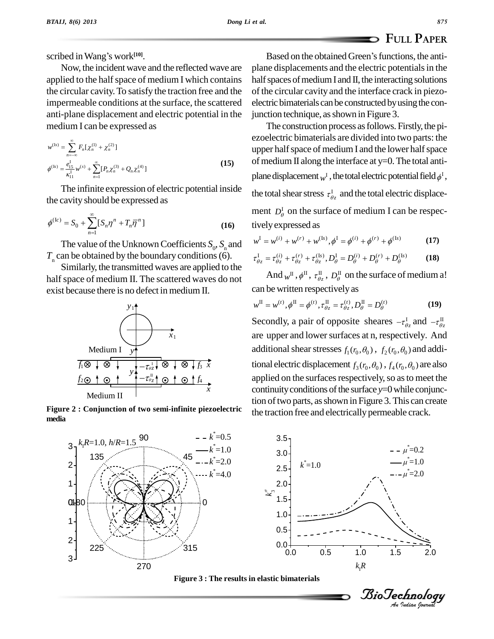scribed inWangí<sup>s</sup> work **[10]**.

Now, the incident wave and the reflected wave are applied to the half space of medium I which contains the circular cavity.To satisfy the traction free and the impermeable conditions at the surface, the scattered anti-plane displacement and electric potential in the medium I canbe expressed as

$$
\text{median I can be expressed as}
$$
\n
$$
w^{(1s)} = \sum_{n=-\infty}^{\infty} F_n[\chi_n^{(1)} + \chi_n^{(2)}]
$$
\n
$$
\phi^{(1s)} = \frac{e_{1s}^1}{\kappa_{11}^1} w^{(s)} + \sum_{n=1}^{\infty} [P_n \chi_n^{(3)} + Q_n \chi_n^{(4)}]
$$
\n(15)

the cavity should be expressed as

The infinite expression of electric potential inside  
the cavity should be expressed as  
ment  

$$
\phi^{(Ic)} = S_0 + \sum_{n=1}^{\infty} [S_n \eta^n + T_n \overline{\eta}^n]
$$
(16) tively

The value of the Unknown Coefficients  $S_0$ ,  $S_n$  and  $w = w$ *T*<sub>n</sub> can be obtained by the boundary conditions (6). Similarly, the transmitted waves are applied to the

half space of medium II. The scattered waves do not exist because there is no defect in medium II.



**Figure 2 : Conjunction of two semi-infinite piezoelectric media**

Based on the obtained Green's functions, the antiplane displacements and the electric potentialsin the half spaces of medium I and II, the interacting solutions of the circular cavity and the interface crack in piezo electric bimaterials can be constructed by using the conjunction technique, as shown in Figure 3.

The construction process as follows. Firstly, the piezoelectric bimaterials are divided into two parts: the upper half space of medium I and the lower half space of medium II along the interface at  $y=0$ . The total antiplane displacement  $_{W}$ <sup>r</sup> , the total electric potential field  $_{\phi}$ <sup>r</sup> , the total shear stress  $\tau_{\theta z}^{\text{I}}$  and the total electric displacement  $D_{\theta}^{I}$  on the surface of medium I can be respectivelyexpressed as *i vely expressed as*  $w^I = w^{(i)} + w^{(r)} + w^{(ks)}, \phi^I = \phi^{(i)} + \phi^{(r)} + \phi^{(ks)}$  (17)

$$
w^{\text{I}} = w^{(i)} + w^{(r)} + w^{(\text{Is})}, \phi^{\text{I}} = \phi^{(i)} + \phi^{(r)} + \phi^{(\text{Is})}
$$
(17)

$$
w^{I} = w^{(i)} + w^{(r)} + w^{(Is)}, \phi^{I} = \phi^{(i)} + \phi^{(r)} + \phi^{(Is)}
$$
(17)  

$$
\tau^{I}_{\theta z} = \tau^{(i)}_{\theta z} + \tau^{(r)}_{\theta z} + \tau^{(Is)}_{\theta z}, D^{I}_{\theta} = D^{(i)}_{\theta} + D^{(r)}_{\theta} + D^{(Is)}_{\theta}
$$
(18)

And  $_{W}$ <sup>II</sup> ,  $_{\sigma}$ <sup>II</sup>,  $_{\sigma}$ <sup>II</sup><sub> $_{\sigma}$ </sub>,  $_{D_{\theta}$ <sup>II</sup> on the surface of medium a!

can be written respectively as  
\n
$$
w^{\text{II}} = w^{(t)}, \phi^{\text{II}} = \phi^{(t)}, \tau_{\theta z}^{\text{II}} = \tau_{\theta z}^{(t)}, D_{\theta}^{\text{II}} = D_{\theta}^{(t)}
$$
\nSecondly, a pair of opposite sheares  $-\tau_{\theta z}^{\text{I}}$  and  $-\tau_{\theta z}^{\text{II}}$ 

are upper and lower surfaces at n, respectively. And additional shear stresses  $f_1(r_0, \theta_0)$ ,  $f_2(r_0, \theta_0)$  and additional electric displacement  $f_3(r_0, \theta_0)$  ,  $f_4(r_0, \theta_0)$  are also applied on the surfaces respectively, so as to meet the continuity conditions of the surface  $y=0$  while conjunction of two parts, as shown in Figure 3. This can create the traction free and electrically permeable crack.





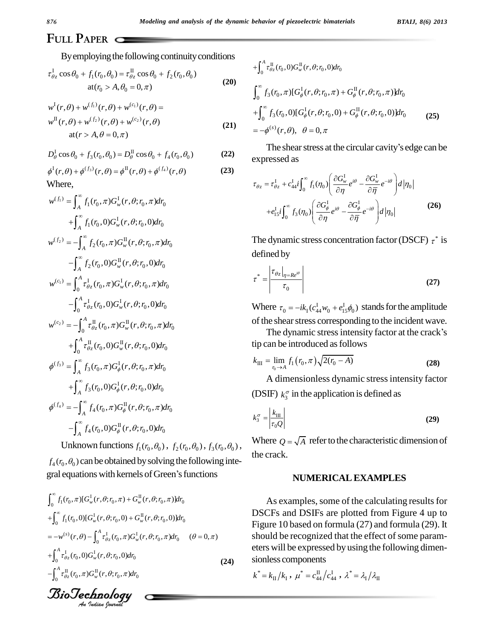j

# **FULL PAPER**

aploying the following continuity<br>+  $f_1(r_0, \theta_0) = \tau_0^{\text{II}} \cos \theta_0 + f_2(r_0, \theta_0)$ 

$$
\tau_{\theta z}^{I} \cos \theta_{0} + f_{1}(r_{0}, \theta_{0}) = \tau_{\theta z}^{II} \cos \theta_{0} + f_{2}(r_{0}, \theta_{0})
$$
  
at  $(r_{0} > A, \theta_{0} = 0, \pi)$  (20)  

$$
w^{I}(r, \theta) + w^{(f_{1})}(r, \theta) + w^{(c_{1})}(r, \theta) =
$$

$$
w^{I}(r, \theta) + w^{(f_{1})}(r, \theta) + w^{(c_{1})}(r, \theta) =
$$
  
\n
$$
w^{II}(r, \theta) + w^{(f_{2})}(r, \theta) + w^{(c_{2})}(r, \theta)
$$
  
\nat(r > A, \theta = 0, \pi) (21)

at(
$$
r > A, \theta = 0, \pi
$$
)  
\n
$$
D_{\theta}^{I} \cos \theta_{0} + f_{3}(r_{0}, \theta_{0}) = D_{\theta}^{II} \cos \theta_{0} + f_{4}(r_{0}, \theta_{0})
$$
\n(22)  
\n
$$
\phi^{I}(r, \theta) + \phi^{(f_{3})}(r, \theta) = \phi^{II}(r, \theta) + \phi^{(f_{4})}(r, \theta)
$$
\n(23)

$$
\phi^{\mathrm{I}}(r,\theta) + \phi^{(f_3)}(r,\theta) = \phi^{\mathrm{II}}(r,\theta) + \phi^{(f_4)}(r,\theta)
$$
\nWhere,

\n
$$
\phi^{\infty} = \phi^{\infty}
$$
\n(23)

By employing the following continuity conditions  
\n
$$
\tau_{\theta_{\zeta}}^{I} \cos \theta_{0} + f_{1}(r_{0}, \theta_{0}) = \tau_{\theta_{\zeta}}^{II} \cos \theta_{0} + f_{2}(r_{0}, \theta_{0})
$$
\n
$$
t(r_{0}) + w^{(f_{1})}(r, \theta) + w^{(c_{1})}(r, \theta) =
$$
\n
$$
w^{II}(r, \theta) + w^{(f_{2})}(r, \theta) + w^{(c_{2})}(r, \theta)
$$
\n
$$
w^{II}(r, \theta) + w^{(f_{2})}(r, \theta) + w^{(c_{2})}(r, \theta)
$$
\n
$$
= -\frac{1}{2} \int_{0}^{R} \cos \theta_{0} + f_{3}(r_{0}, \theta_{0}) = D_{\theta}^{II} \cos \theta_{0} + f_{4}(r_{0}, \theta_{0})
$$
\n
$$
= -\frac{1}{2} \int_{0}^{R} \cos \theta_{0} + f_{3}(r_{0}, \theta_{0}) = D_{\theta}^{II} \cos \theta_{0} + f_{4}(r_{0}, \theta_{0})
$$
\n
$$
= \int_{0}^{R} f_{1}(r_{0}, \theta) + \frac{1}{2} \int_{0}^{R} f_{1}(r_{0}, \theta) G_{w}^{II}(r, \theta; r_{0}, \theta) d r_{0}
$$
\nwhere,  
\n
$$
w^{(f_{1})} = \int_{A}^{\infty} f_{1}(r_{0}, \theta) G_{w}^{II}(r, \theta; r_{0}, \theta) d r_{0}
$$
\n
$$
= -\int_{A}^{\infty} f_{2}(r_{0}, \theta) G_{w}^{II}(r, \theta; r_{0}, \theta) d r_{0}
$$
\n
$$
= -\int_{0}^{R} f_{2}(r_{0}, \theta) G_{w}^{II}(r, \theta; r_{0}, \theta) d r_{0}
$$
\n
$$
= -\int_{0}^{A} f_{2}(r_{0}, \theta) G_{w}^{II}(r, \theta; r_{0}, \theta) d r_{0}
$$
\n
$$
= -\int_{0}^{A} f_{2}(r_{0}, \theta) G_{w}^{II}(r, \theta; r_{0}, \theta) d r_{0}
$$
\n
$$
= -\int_{0}^{A} f_{2
$$

Unknown functions  $f_1(r_0, \theta_0)$ ,  $f_2(r_0, \theta_0)$ ,  $f_3(r_0, \theta_0)$ , <sup>W1</sup>  $f_4(r_0, \theta_0)$  can be obtained by solving the following inte-CHKHOWH functions  $J_1(r_0, \theta_0)$ ,  $J_2(r_0, \theta_0)$ ,  $J_3(r_0, \theta_0)$ ,<br>  $f_4(r_0, \theta_0)$  can be obtained by solving the following integral equations with kernels of Green's functions gral equations with kernels of Green's functions

$$
\int_{0}^{\infty} f_{1}(r_{0}, \pi) [G_{w}^{I}(r, \theta; r_{0}, \pi) + G_{w}^{II}(r, \theta; r_{0}, \pi)] dr_{0}
$$
\n
$$
+ \int_{0}^{\infty} f_{1}(r_{0}, 0) [G_{w}^{I}(r, \theta; r_{0}, 0) + G_{w}^{II}(r, \theta; r_{0}, 0)] dr_{0}
$$
\n
$$
= -w^{(s)}(r, \theta) - \int_{0}^{A} \tau_{\theta_{z}}^{I}(r_{0}, \pi) G_{w}^{I}(r, \theta; r_{0}, \pi) dr_{0} \quad (\theta = 0, \pi)
$$
\n
$$
+ \int_{0}^{A} \tau_{\theta_{z}}^{I}(r_{0}, 0) G_{w}^{I}(r, \theta; r_{0}, 0) dr_{0}
$$
\n
$$
- \int_{0}^{A} \tau_{\theta_{z}}^{II}(r_{0}, \pi) G_{w}^{II}(r, \theta; r_{0}, \pi) dr_{0}
$$
\n**36.32.32.4**

$$
+ \int_0^A \tau_{\theta z}^{\text{II}}(r_0,0)G_{w}^{\text{II}}(r,\theta; r_0,0)dr_0
$$
  

$$
\int_0^{\infty} f_3(r_0,\pi)[G_{\phi}^{\text{I}}(r,\theta; r_0,\pi) + G_{\phi}^{\text{II}}(r,\theta; r_0,\pi)]dr_0
$$
  

$$
+ \int_0^{\infty} f_3(r_0,0)[G_{\phi}^{\text{I}}(r,\theta; r_0,0) + G_{\phi}^{\text{II}}(r,\theta; r_0,0)]dr_0
$$
 (25)  

$$
= -\phi^{(s)}(r,\theta), \quad \theta = 0, \pi
$$
  
The shear stress at the circular cavity's edge can be

expressed as  $\partial G^{\rm I}$  . ressed as  $\left(\begin{array}{cc} \partial G_{\alpha}^1 & \dots & \partial G_{\alpha}^1 & \dots \end{array}\right)$  $\mathbf{r}$ 

$$
\tau_{\theta z} = \tau_{\theta z}^{I} + c_{44}^{I} i \int_{0}^{\infty} f_{1}(\eta_{0}) \left( \frac{\partial G_{w}^{I}}{\partial \eta} e^{i\theta} - \frac{\partial G_{w}^{I}}{\partial \overline{\eta}} e^{-i\theta} \right) d |\eta_{0}|
$$

$$
+ e_{15}^{I} i \int_{0}^{\infty} f_{3}(\eta_{0}) \left( \frac{\partial G_{\phi}^{I}}{\partial \eta} e^{i\theta} - \frac{\partial G_{\phi}^{I}}{\partial \overline{\eta}} e^{-i\theta} \right) d |\eta_{0}| \qquad (26)
$$

The dynamic stress concentration factor (DSCF)  $\tau^*$  is defined by

$$
\tau^* = \left| \frac{\tau_{\theta z} \big|_{\eta = Re^{i\theta}}}{\tau_0} \right| \tag{27}
$$

 $\begin{vmatrix} \tau_0 & \tau_1 \end{vmatrix}$ <br>Where  $\tau_0 = -ik_1(c_{44}^1 w_0 + e_{15}^1 \phi_0)$  stands for the amplitude of the shear stress corresponding to the incident wave.

The dynamic stress intensity factor at the crack's

tip can be introduced as follows  
\n
$$
k_{\text{III}} = \lim_{r_0 \to A} f_1(r_0, \pi) \sqrt{2(r_0 - A)}
$$
\n(28)

A dimensionless dynamic stressintensity factor (DSIF)  $k_3^{\sigma}$  in the application is defined as

$$
k_3^{\sigma} = \frac{k_{\text{III}}}{\tau_0 Q}
$$
 (29)

Where  $Q = \sqrt{A}$  refer to the characteristic dimension of the crack.

#### **NUMERICALEXAMPLES**

As examples, some of the calculating results for DSCFs and DSIFs are plotted from Figure 4 up to Figure 10 based on formula (27) and formula (29). It should be recognized that the effect of some parameters will be expressed by using the following dimen sionless components<br>  $k^* = k_{\text{II}}/k_{\text{I}}$ ,  $\mu^* = c_{44}^{\text{II}}/c_{44}^{\text{I}}$ ,  $\lambda^*$ ponents<br> $\mu^* = c_{44}^{\text{II}}/c_{44}^{\text{I}}$ ,  $\lambda^* = \lambda_1/\lambda_{\text{II}}$ 

$$
k^* = k_{\rm II}/k_{\rm I} \; , \; \mu^* = c_{44}^{\rm II}/c_{44}^{\rm I} \; , \; \lambda^* = \lambda_{\rm I}/\lambda_{\rm II}
$$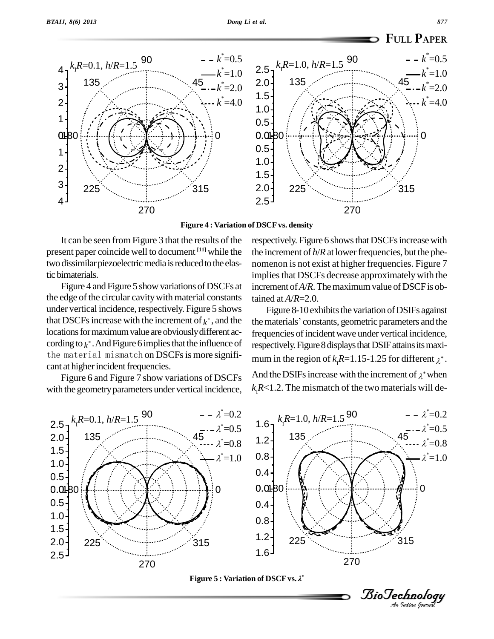

**Figure 4 : Variation of DSCFvs. density**

It can be seen from Figure 3 that the results of the present paper coincide well to document **[11]** while the two dissimilar piezoelectric media is reduced to the elastic bimaterials.

Figure 4 and Figure 5 show variations of DSCFs at the edge of the circular cavity with material constants under vertical incidence, respectively. Figure 5 shows that DSCFs increase with the increment of  $k^*$ , and the the ma locations for maximum value are obviously different according to  $k^*$ . And Figure 6 implies that the influence of the material mismatch on DSCFs is more significant at higher incident frequencies.

Figure 6 and Figure 7 show variations of DSCFs with the geometry parameters under vertical incidence, respectively. Figure 6 shows that DSCFs increase with the increment of  $h/R$  at lower frequencies, but the phenomenon is not exist at higher frequencies. Figure 7 implies that DSCFs decrease approximately with the increment of  $A/R$ . The maximum value of DSCF is obtained at *A*/*R*=2.0.

Figure 8-10 exhibits the variation of DSIFs against the materials' constants, geometric parameters and the frequencies of incident wave under vertical incidence, respectively. Figure 8 displays that DSIF attains its maximum in the region of  $k<sub>i</sub>R=1.15-1.25$  for different  $\lambda^*$ . And the DSIFs increase with the increment of  $\lambda^*$  when  $k<sub>r</sub>R<1.2$ . The mismatch of the two materials will de-



*Indian Journal*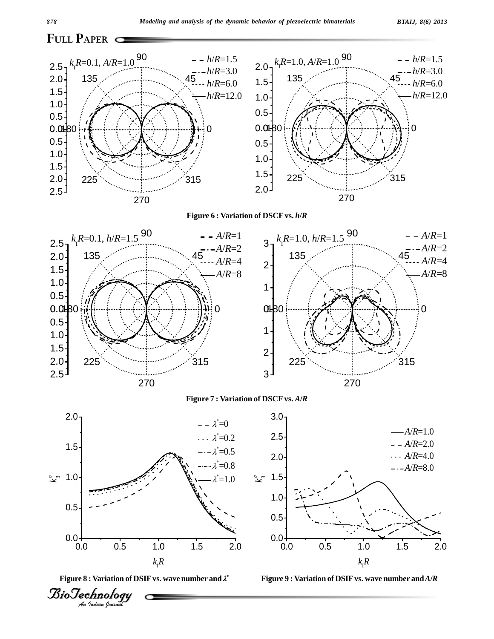



**Figure 6 : Variation of DSCFvs.** *h***/***R*



**Figure 7 : Variation of DSCFvs.** *A***/***R*

3.0





*A*/*R*=1.0





0.5 1.0 1.5

0.5 1.0 1.5  $2.0 2.5 -$ 

225